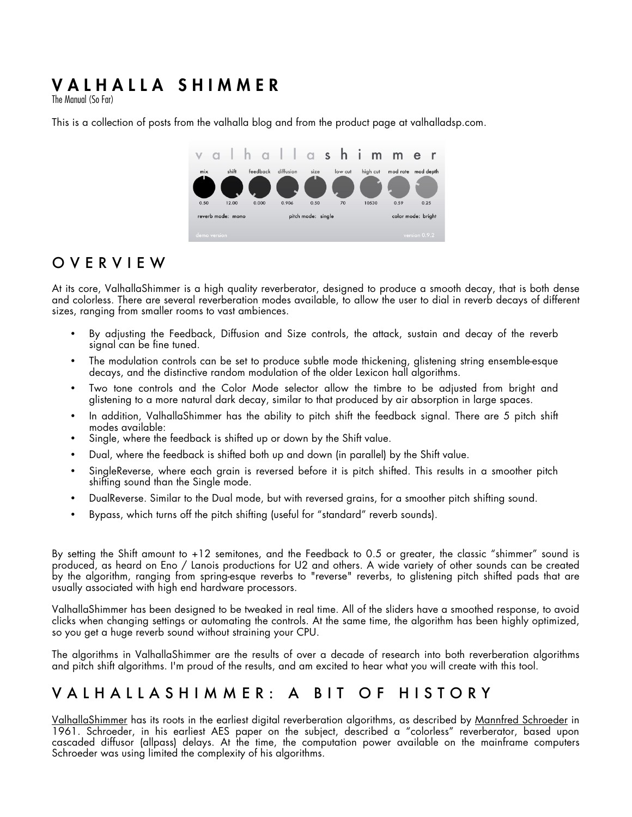# VALHALLA SHIMMER

The Manual (So Far)

This is a collection of posts from the valhalla blog and from the product page at valhalladsp.com.

| V                 |       | h        |                    | alla <b>shim</b> |         |          | m                  | e             |  |
|-------------------|-------|----------|--------------------|------------------|---------|----------|--------------------|---------------|--|
| mix               | shift | feedback | diffusion          | size             | low cut | high cut | mod rate           | mod depth     |  |
| ш                 |       |          |                    |                  |         |          |                    |               |  |
| 0.50              | 12.00 | 0.000    | 0.906              | 0.50             | 70      | 10530    | 0.59               | 0.25          |  |
| reverb mode: mono |       |          | pitch mode: single |                  |         |          | color mode: bright |               |  |
| demo version      |       |          |                    |                  |         |          |                    | version 0.9.2 |  |

#### OVERVIEW

At its core, ValhallaShimmer is a high quality reverberator, designed to produce a smooth decay, that is both dense and colorless. There are several reverberation modes available, to allow the user to dial in reverb decays of different sizes, ranging from smaller rooms to vast ambiences.

- By adjusting the Feedback, Diffusion and Size controls, the attack, sustain and decay of the reverb signal can be fine tuned.
- The modulation controls can be set to produce subtle mode thickening, glistening string ensemble-esque decays, and the distinctive random modulation of the older Lexicon hall algorithms.
- Two tone controls and the Color Mode selector allow the timbre to be adjusted from bright and glistening to a more natural dark decay, similar to that produced by air absorption in large spaces.
- In addition, ValhallaShimmer has the ability to pitch shift the feedback signal. There are 5 pitch shift modes available:
- Single, where the feedback is shifted up or down by the Shift value.
- Dual, where the feedback is shifted both up and down (in parallel) by the Shift value.
- SingleReverse, where each grain is reversed before it is pitch shifted. This results in a smoother pitch shifting sound than the Single mode.
- DualReverse. Similar to the Dual mode, but with reversed grains, for a smoother pitch shifting sound.
- Bypass, which turns off the pitch shifting (useful for "standard" reverb sounds).

By setting the Shift amount to +12 semitones, and the Feedback to 0.5 or greater, the classic "shimmer" sound is produced, as heard on Eno / Lanois productions for U2 and others. A wide variety of other sounds can be created by the algorithm, ranging from spring-esque reverbs to "reverse" reverbs, to glistening pitch shifted pads that are usually associated with high end hardware processors.

ValhallaShimmer has been designed to be tweaked in real time. All of the sliders have a smoothed response, to avoid clicks when changing settings or automating the controls. At the same time, the algorithm has been highly optimized, so you get a huge reverb sound without straining your CPU.

The algorithms in ValhallaShimmer are the results of over a decade of research into both reverberation algorithms and pitch shift algorithms. I'm proud of the results, and am excited to hear what you will create with this tool.

#### VALHALLASHIMMER: A B IT OF HISTORY

ValhallaShimmer has its roots in the earliest digital reverberation algorithms, as described by Mannfred Schroeder in 1961. Schroeder, in his earliest AES paper on the subject, described a "colorless" reverberator, based upon cascaded diffusor (allpass) delays. At the time, the computation power available on the mainframe computers Schroeder was using limited the complexity of his algorithms.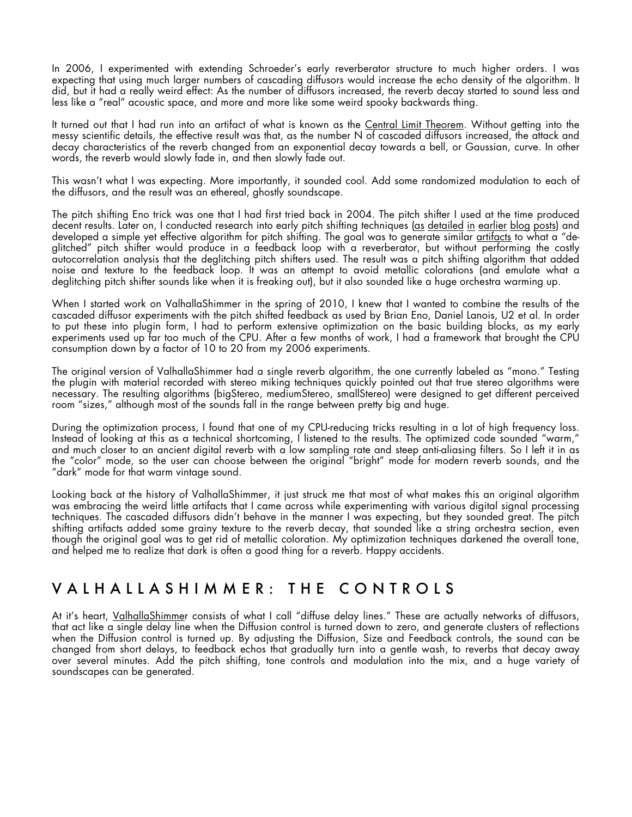In 2006, I experimented with extending Schroeder's early reverberator structure to much higher orders. I was expecting that using much larger numbers of cascading diffusors would increase the echo density of the algorithm. It did, but it had a really weird effect: As the number of diffusors increased, the reverb decay started to sound less and less like a "real" acoustic space, and more and more like some weird spooky backwards thing.

It turned out that I had run into an artifact of what is known as the Central Limit Theorem. Without getting into the messy scientific details, the effective result was that, as the number N of cascaded diffusors increased, the attack and decay characteristics of the reverb changed from an exponential decay towards a bell, or Gaussian, curve. In other words, the reverb would slowly fade in, and then slowly fade out.

This wasn't what I was expecting. More importantly, it sounded cool. Add some randomized modulation to each of the diffusors, and the result was an ethereal, ghostly soundscape.

The pitch shifting Eno trick was one that I had first tried back in 2004. The pitch shifter I used at the time produced decent results. Later on, I conducted research into early pitch shifting techniques (as detailed in earlier blog posts) and developed a simple yet effective algorithm for pitch shifting. The goal was to generate similar artifacts to what a "deglitched" pitch shifter would produce in a feedback loop with a reverberator, but without performing the costly autocorrelation analysis that the deglitching pitch shifters used. The result was a pitch shifting algorithm that added noise and texture to the feedback loop. It was an attempt to avoid metallic colorations (and emulate what a deglitching pitch shifter sounds like when it is freaking out), but it also sounded like a huge orchestra warming up.

When I started work on ValhallaShimmer in the spring of 2010, I knew that I wanted to combine the results of the cascaded diffusor experiments with the pitch shifted feedback as used by Brian Eno, Daniel Lanois, U2 et al. In order to put these into plugin form, I had to perform extensive optimization on the basic building blocks, as my early experiments used up far too much of the CPU. After a few months of work, I had a framework that brought the CPU consumption down by a factor of 10 to 20 from my 2006 experiments.

The original version of ValhallaShimmer had a single reverb algorithm, the one currently labeled as "mono." Testing the plugin with material recorded with stereo miking techniques quickly pointed out that true stereo algorithms were necessary. The resulting algorithms (bigStereo, mediumStereo, smallStereo) were designed to get different perceived room "sizes," although most of the sounds fall in the range between pretty big and huge.

During the optimization process, I found that one of my CPU-reducing tricks resulting in a lot of high frequency loss. Instead of looking at this as a technical shortcoming, I listened to the results. The optimized code sounded "warm," and much closer to an ancient digital reverb with a low sampling rate and steep anti-aliasing filters. So I left it in as the "color" mode, so the user can choose between the original "bright" mode for modern reverb sounds, and the "dark" mode for that warm vintage sound.

Looking back at the history of ValhallaShimmer, it just struck me that most of what makes this an original algorithm was embracing the weird little artifacts that I came across while experimenting with various digital signal processing techniques. The cascaded diffusors didn't behave in the manner I was expecting, but they sounded great. The pitch shifting artifacts added some grainy texture to the reverb decay, that sounded like a string orchestra section, even though the original goal was to get rid of metallic coloration. My optimization techniques darkened the overall tone, and helped me to realize that dark is often a good thing for a reverb. Happy accidents.

#### VALHALLASHIMMER: THE CONTROLS

At it's heart, ValhallaShimmer consists of what I call "diffuse delay lines." These are actually networks of diffusors, that act like a single delay line when the Diffusion control is turned down to zero, and generate clusters of reflections when the Diffusion control is turned up. By adjusting the Diffusion, Size and Feedback controls, the sound can be changed from short delays, to feedback echos that gradually turn into a gentle wash, to reverbs that decay away over several minutes. Add the pitch shifting, tone controls and modulation into the mix, and a huge variety of soundscapes can be generated.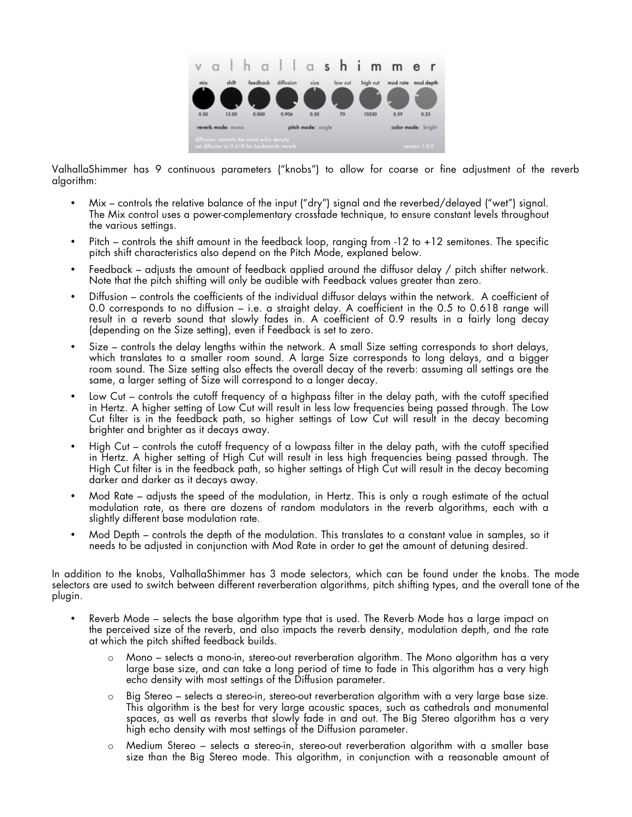

ValhallaShimmer has 9 continuous parameters ("knobs") to allow for coarse or fine adjustment of the reverb algorithm:

- Mix controls the relative balance of the input ("dry") signal and the reverbed/delayed ("wet") signal. The Mix control uses a power-complementary crossfade technique, to ensure constant levels throughout the various settings.
- Pitch controls the shift amount in the feedback loop, ranging from -12 to +12 semitones. The specific pitch shift characteristics also depend on the Pitch Mode, explaned below.
- Feedback adjusts the amount of feedback applied around the diffusor delay / pitch shifter network. Note that the pitch shifting will only be audible with Feedback values greater than zero.
- Diffusion controls the coefficients of the individual diffusor delays within the network. A coefficient of 0.0 corresponds to no diffusion – i.e. a straight delay. A coefficient in the 0.5 to 0.618 range will result in a reverb sound that slowly fades in. A coefficient of 0.9 results in a fairly long decay (depending on the Size setting), even if Feedback is set to zero.
- Size controls the delay lengths within the network. A small Size setting corresponds to short delays, which translates to a smaller room sound. A large Size corresponds to long delays, and a bigger room sound. The Size setting also effects the overall decay of the reverb: assuming all settings are the same, a larger setting of Size will correspond to a longer decay.
- Low Cut controls the cutoff frequency of a highpass filter in the delay path, with the cutoff specified in Hertz. A higher setting of Low Cut will result in less low frequencies being passed through. The Low Cut filter is in the feedback path, so higher settings of Low Cut will result in the decay becoming brighter and brighter as it decays away.
- High Cut controls the cutoff frequency of a lowpass filter in the delay path, with the cutoff specified in Hertz. A higher setting of High Cut will result in less high frequencies being passed through. The High Cut filter is in the feedback path, so higher settings of High Cut will result in the decay becoming darker and darker as it decays away.
- Mod Rate adjusts the speed of the modulation, in Hertz. This is only a rough estimate of the actual modulation rate, as there are dozens of random modulators in the reverb algorithms, each with a slightly different base modulation rate.
- Mod Depth controls the depth of the modulation. This translates to a constant value in samples, so it needs to be adjusted in conjunction with Mod Rate in order to get the amount of detuning desired.

In addition to the knobs, ValhallaShimmer has 3 mode selectors, which can be found under the knobs. The mode selectors are used to switch between different reverberation algorithms, pitch shifting types, and the overall tone of the plugin.

- Reverb Mode selects the base algorithm type that is used. The Reverb Mode has a large impact on the perceived size of the reverb, and also impacts the reverb density, modulation depth, and the rate at which the pitch shifted feedback builds.
	- o Mono selects a mono-in, stereo-out reverberation algorithm. The Mono algorithm has a very large base size, and can take a long period of time to fade in This algorithm has a very high echo density with most settings of the Diffusion parameter.
	- o Big Stereo selects a stereo-in, stereo-out reverberation algorithm with a very large base size. This algorithm is the best for very large acoustic spaces, such as cathedrals and monumental spaces, as well as reverbs that slowly fade in and out. The Big Stereo algorithm has a very high echo density with most settings of the Diffusion parameter.
	- o Medium Stereo selects a stereo-in, stereo-out reverberation algorithm with a smaller base size than the Big Stereo mode. This algorithm, in conjunction with a reasonable amount of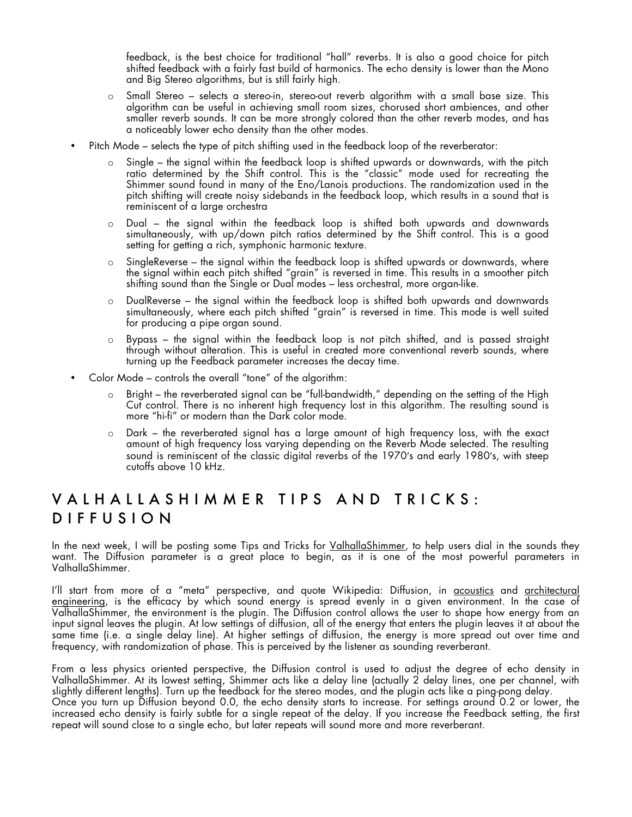feedback, is the best choice for traditional "hall" reverbs. It is also a good choice for pitch shifted feedback with a fairly fast build of harmonics. The echo density is lower than the Mono and Big Stereo algorithms, but is still fairly high.

- o Small Stereo selects a stereo-in, stereo-out reverb algorithm with a small base size. This algorithm can be useful in achieving small room sizes, chorused short ambiences, and other smaller reverb sounds. It can be more strongly colored than the other reverb modes, and has a noticeably lower echo density than the other modes.
- Pitch Mode selects the type of pitch shifting used in the feedback loop of the reverberator:
	- Single the signal within the feedback loop is shifted upwards or downwards, with the pitch ratio determined by the Shift control. This is the "classic" mode used for recreating the Shimmer sound found in many of the Eno/Lanois productions. The randomization used in the pitch shifting will create noisy sidebands in the feedback loop, which results in a sound that is reminiscent of a large orchestra
	- o Dual the signal within the feedback loop is shifted both upwards and downwards simultaneously, with up/down pitch ratios determined by the Shift control. This is a good setting for getting a rich, symphonic harmonic texture.
	- $\circ$  SingleReverse the signal within the feedback loop is shifted upwards or downwards, where the signal within each pitch shifted "grain" is reversed in time. This results in a smoother pitch shifting sound than the Single or Dual modes – less orchestral, more organ-like.
	- o DualReverse the signal within the feedback loop is shifted both upwards and downwards simultaneously, where each pitch shifted "grain" is reversed in time. This mode is well suited for producing a pipe organ sound.
	- Bypass the signal within the feedback loop is not pitch shifted, and is passed straight through without alteration. This is useful in created more conventional reverb sounds, where turning up the Feedback parameter increases the decay time.
- Color Mode controls the overall "tone" of the algorithm:
	- Bright the reverberated signal can be "full-bandwidth," depending on the setting of the High Cut control. There is no inherent high frequency lost in this algorithm. The resulting sound is more "hi-fi" or modern than the Dark color mode.
	- o Dark the reverberated signal has a large amount of high frequency loss, with the exact amount of high frequency loss varying depending on the Reverb Mode selected. The resulting sound is reminiscent of the classic digital reverbs of the 1970′s and early 1980′s, with steep cutoffs above 10 kHz.

#### VALHALLASHIMMER TIPS AND TRICKS: DIFFUSION

In the next week, I will be posting some Tips and Tricks for ValhallaShimmer, to help users dial in the sounds they want. The Diffusion parameter is a great place to begin, as it is one of the most powerful parameters in ValhallaShimmer.

I'll start from more of a "meta" perspective, and quote Wikipedia: Diffusion, in acoustics and architectural <u>engineering</u>, is the efficacy by which sound energy is spread evenly in a given environment. In the case of ValhallaShimmer, the environment is the plugin. The Diffusion control allows the user to shape how energy from an input signal leaves the plugin. At low settings of diffusion, all of the energy that enters the plugin leaves it at about the same time (i.e. a single delay line). At higher settings of diffusion, the energy is more spread out over time and frequency, with randomization of phase. This is perceived by the listener as sounding reverberant.

From a less physics oriented perspective, the Diffusion control is used to adjust the degree of echo density in ValhallaShimmer. At its lowest setting, Shimmer acts like a delay line (actually 2 delay lines, one per channel, with slightly different lengths). Turn up the feedback for the stereo modes, and the plugin acts like a ping-pong delay. Once you turn up Diffusion beyond 0.0, the echo density starts to increase. For settings around 0.2 or lower, the increased echo density is fairly subtle for a single repeat of the delay. If you increase the Feedback setting, the first repeat will sound close to a single echo, but later repeats will sound more and more reverberant.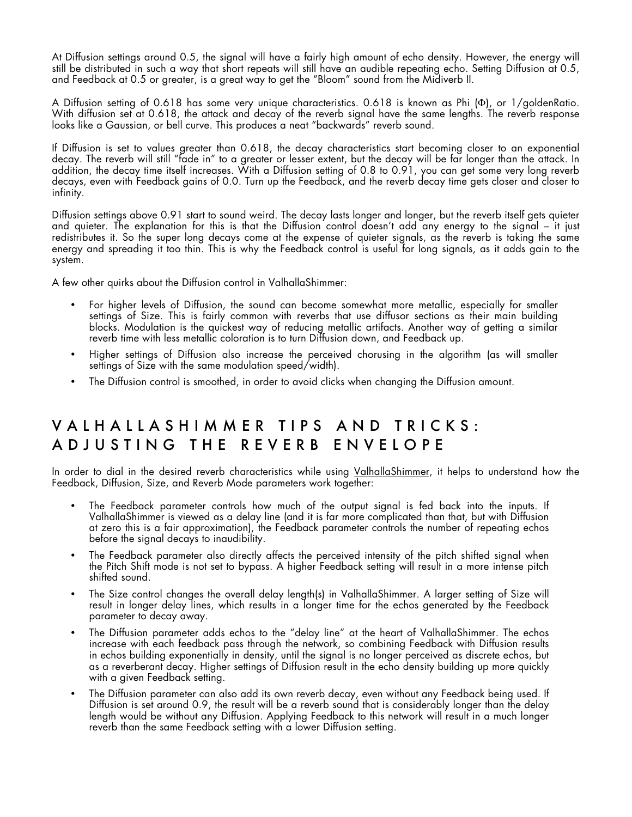At Diffusion settings around 0.5, the signal will have a fairly high amount of echo density. However, the energy will still be distributed in such a way that short repeats will still have an audible repeating echo. Setting Diffusion at 0.5, and Feedback at 0.5 or greater, is a great way to get the "Bloom" sound from the Midiverb II.

A Diffusion setting of 0.618 has some very unique characteristics. 0.618 is known as Phi (Φ), or 1/goldenRatio. With diffusion set at 0.618, the attack and decay of the reverb signal have the same lengths. The reverb response looks like a Gaussian, or bell curve. This produces a neat "backwards" reverb sound.

If Diffusion is set to values greater than 0.618, the decay characteristics start becoming closer to an exponential decay. The reverb will still "fade in" to a greater or lesser extent, but the decay will be far longer than the attack. In addition, the decay time itself increases. With a Diffusion setting of 0.8 to 0.91, you can get some very long reverb decays, even with Feedback gains of 0.0. Turn up the Feedback, and the reverb decay time gets closer and closer to infinity.

Diffusion settings above 0.91 start to sound weird. The decay lasts longer and longer, but the reverb itself gets quieter and quieter. The explanation for this is that the Diffusion control doesn't add any energy to the signal – it just redistributes it. So the super long decays come at the expense of quieter signals, as the reverb is taking the same energy and spreading it too thin. This is why the Feedback control is useful for long signals, as it adds gain to the system.

A few other quirks about the Diffusion control in ValhallaShimmer:

- For higher levels of Diffusion, the sound can become somewhat more metallic, especially for smaller settings of Size. This is fairly common with reverbs that use diffusor sections as their main building blocks. Modulation is the quickest way of reducing metallic artifacts. Another way of getting a similar reverb time with less metallic coloration is to turn Diffusion down, and Feedback up.
- Higher settings of Diffusion also increase the perceived chorusing in the algorithm (as will smaller settings of Size with the same modulation speed/width).
- The Diffusion control is smoothed, in order to avoid clicks when changing the Diffusion amount.

## VALHALLASHIMMER TIPS AND TRICKS: ADJUSTING THE REVERB ENVELOPE

In order to dial in the desired reverb characteristics while using ValhallaShimmer, it helps to understand how the Feedback, Diffusion, Size, and Reverb Mode parameters work together:

- The Feedback parameter controls how much of the output signal is fed back into the inputs. If ValhallaShimmer is viewed as a delay line (and it is far more complicated than that, but with Diffusion at zero this is a fair approximation), the Feedback parameter controls the number of repeating echos before the signal decays to inaudibility.
- The Feedback parameter also directly affects the perceived intensity of the pitch shifted signal when the Pitch Shift mode is not set to bypass. A higher Feedback setting will result in a more intense pitch shifted sound.
- The Size control changes the overall delay length(s) in ValhallaShimmer. A larger setting of Size will result in longer delay lines, which results in a longer time for the echos generated by the Feedback parameter to decay away.
- The Diffusion parameter adds echos to the "delay line" at the heart of ValhallaShimmer. The echos increase with each feedback pass through the network, so combining Feedback with Diffusion results in echos building exponentially in density, until the signal is no longer perceived as discrete echos, but as a reverberant decay. Higher settings of Diffusion result in the echo density building up more quickly with a given Feedback setting.
- The Diffusion parameter can also add its own reverb decay, even without any Feedback being used. If Diffusion is set around 0.9, the result will be a reverb sound that is considerably longer than the delay length would be without any Diffusion. Applying Feedback to this network will result in a much longer reverb than the same Feedback setting with a lower Diffusion setting.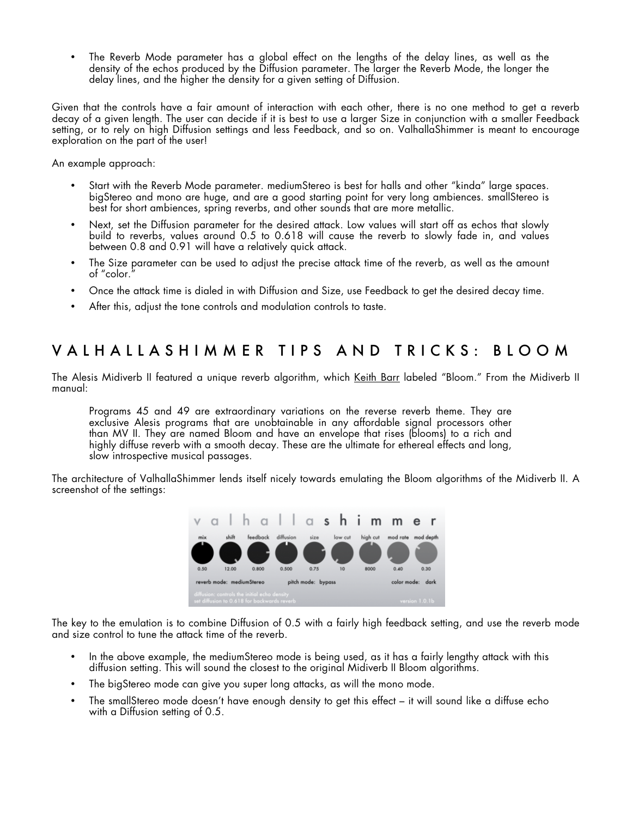The Reverb Mode parameter has a global effect on the lengths of the delay lines, as well as the density of the echos produced by the Diffusion parameter. The larger the Reverb Mode, the longer the delay lines, and the higher the density for a given setting of Diffusion.

Given that the controls have a fair amount of interaction with each other, there is no one method to get a reverb decay of a given length. The user can decide if it is best to use a larger Size in conjunction with a smaller Feedback setting, or to rely on high Diffusion settings and less Feedback, and so on. ValhallaShimmer is meant to encourage exploration on the part of the user!

An example approach:

- Start with the Reverb Mode parameter. mediumStereo is best for halls and other "kinda" large spaces. bigStereo and mono are huge, and are a good starting point for very long ambiences. smallStereo is best for short ambiences, spring reverbs, and other sounds that are more metallic.
- Next, set the Diffusion parameter for the desired attack. Low values will start off as echos that slowly build to reverbs, values around 0.5 to 0.618 will cause the reverb to slowly fade in, and values between 0.8 and 0.91 will have a relatively quick attack.
- The Size parameter can be used to adjust the precise attack time of the reverb, as well as the amount of "color."
- Once the attack time is dialed in with Diffusion and Size, use Feedback to get the desired decay time.
- After this, adjust the tone controls and modulation controls to taste.

#### VAL HALLASHIMMER TIPS AN D TRICKS: BLOOM

The Alesis Midiverb II featured a unique reverb algorithm, which Keith Barr labeled "Bloom." From the Midiverb II manual:

Programs 45 and 49 are extraordinary variations on the reverse reverb theme. They are exclusive Alesis programs that are unobtainable in any affordable signal processors other than MV II. They are named Bloom and have an envelope that rises (blooms) to a rich and highly diffuse reverb with a smooth decay. These are the ultimate for ethereal effects and long, slow introspective musical passages.

The architecture of ValhallaShimmer lends itself nicely towards emulating the Bloom algorithms of the Midiverb II. A screenshot of the settings:



The key to the emulation is to combine Diffusion of 0.5 with a fairly high feedback setting, and use the reverb mode and size control to tune the attack time of the reverb.

- In the above example, the mediumStereo mode is being used, as it has a fairly lengthy attack with this diffusion setting. This will sound the closest to the original Midiverb II Bloom algorithms.
- The bigStereo mode can give you super long attacks, as will the mono mode.
- The smallStereo mode doesn't have enough density to get this effect it will sound like a diffuse echo with a Diffusion setting of 0.5.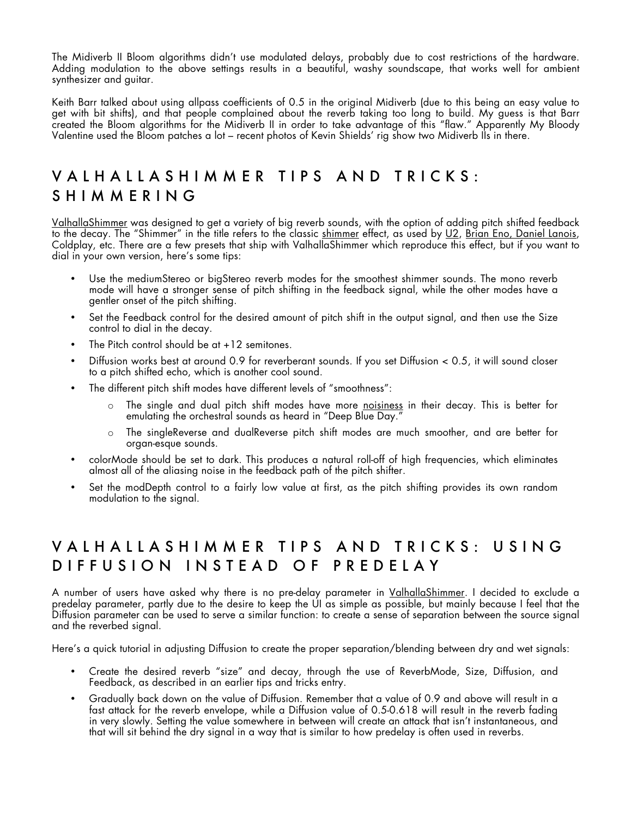The Midiverb II Bloom algorithms didn't use modulated delays, probably due to cost restrictions of the hardware. Adding modulation to the above settings results in a beautiful, washy soundscape, that works well for ambient synthesizer and guitar.

Keith Barr talked about using allpass coefficients of 0.5 in the original Midiverb (due to this being an easy value to get with bit shifts), and that people complained about the reverb taking too long to build. My guess is that Barr created the Bloom algorithms for the Midiverb II in order to take advantage of this "flaw." Apparently My Bloody Valentine used the Bloom patches a lot – recent photos of Kevin Shields' rig show two Midiverb IIs in there.

### VALHALLASHIMMER TIPS AND TRICKS: SHIMMERING

ValhallaShimmer was designed to get a variety of big reverb sounds, with the option of adding pitch shifted feedback to the decay. The "Shimmer" in the title refers to the classic shimmer effect, as used by U2, Brian Eno, Daniel Lanois, Coldplay, etc. There are a few presets that ship with ValhallaShimmer which reproduce this effect, but if you want to dial in your own version, here's some tips:

- Use the mediumStereo or bigStereo reverb modes for the smoothest shimmer sounds. The mono reverb mode will have a stronger sense of pitch shifting in the feedback signal, while the other modes have a gentler onset of the pitch shifting.
- Set the Feedback control for the desired amount of pitch shift in the output signal, and then use the Size control to dial in the decay.
- The Pitch control should be  $at +12$  semitones.
- Diffusion works best at around 0.9 for reverberant sounds. If you set Diffusion < 0.5, it will sound closer to a pitch shifted echo, which is another cool sound.
- The different pitch shift modes have different levels of "smoothness":
	- $\circ$  The single and dual pitch shift modes have more <u>noisiness</u> in their decay. This is better for emulating the orchestral sounds as heard in "Deep Blue Day."
	- o The singleReverse and dualReverse pitch shift modes are much smoother, and are better for organ-esque sounds.
- colorMode should be set to dark. This produces a natural roll-off of high frequencies, which eliminates almost all of the aliasing noise in the feedback path of the pitch shifter.
- Set the modDepth control to a fairly low value at first, as the pitch shifting provides its own random modulation to the signal.

## VALHALLASHIMMER TIPS AND TRICKS: USING DIFFUSION INSTEAD OF PREDELAY

A number of users have asked why there is no pre-delay parameter in <u>ValhallaShimmer</u>. I decided to exclude a predelay parameter, partly due to the desire to keep the UI as simple as possible, but mainly because I feel that the Diffusion parameter can be used to serve a similar function: to create a sense of separation between the source signal and the reverbed signal.

Here's a quick tutorial in adjusting Diffusion to create the proper separation/blending between dry and wet signals:

- Create the desired reverb "size" and decay, through the use of ReverbMode, Size, Diffusion, and Feedback, as described in an earlier tips and tricks entry.
- Gradually back down on the value of Diffusion. Remember that a value of 0.9 and above will result in a fast attack for the reverb envelope, while a Diffusion value of 0.5-0.618 will result in the reverb fading in very slowly. Setting the value somewhere in between will create an attack that isn't instantaneous, and that will sit behind the dry signal in a way that is similar to how predelay is often used in reverbs.